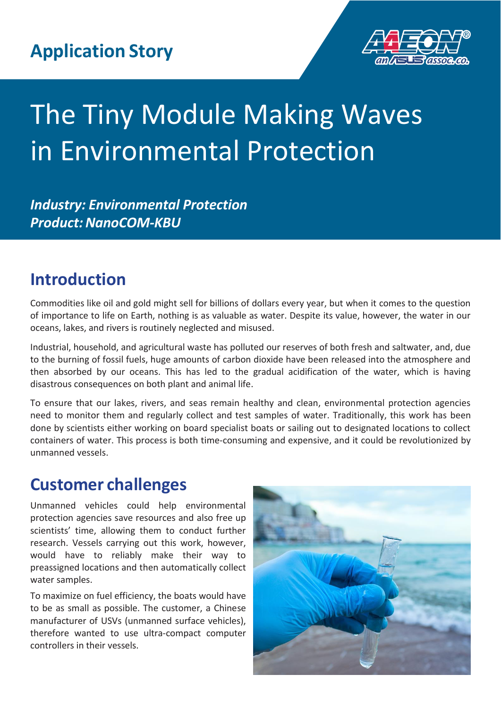

# The Tiny Module Making Waves in Environmental Protection

*Industry: Environmental Protection* **Product: NanoCOM-KBU** 

# **Introduction**

Commodities like oil and gold might sell for billions of dollars every year, but when it comes to the question of importance to life on Earth, nothing is as valuable as water. Despite its value, however, the water in our oceans, lakes, and rivers is routinely neglected and misused.

Industrial, household, and agricultural waste has polluted our reserves of both fresh and saltwater, and, due to the burning of fossil fuels, huge amounts of carbon dioxide have been released into the atmosphere and then absorbed by our oceans. This has led to the gradual acidification of the water, which is having disastrous consequences on both plant and animal life.

To ensure that our lakes, rivers, and seas remain healthy and clean, environmental protection agencies need to monitor them and regularly collect and test samples of water. Traditionally, this work has been done by scientists either working on board specialist boats or sailing out to designated locations to collect containers of water. This process is both time-consuming and expensive, and it could be revolutionized by unmanned vessels.

# **Customer challenges**

Unmanned vehicles could help environmental protection agencies save resources and also free up scientists' time, allowing them to conduct further research. Vessels carrying out this work, however, would have to reliably make their way to preassigned locations and then automatically collect water samples.

To maximize on fuel efficiency, the boats would have to be as small as possible. The customer, a Chinese manufacturer of USVs (unmanned surface vehicles), therefore wanted to use ultra-compact computer controllers in their vessels.

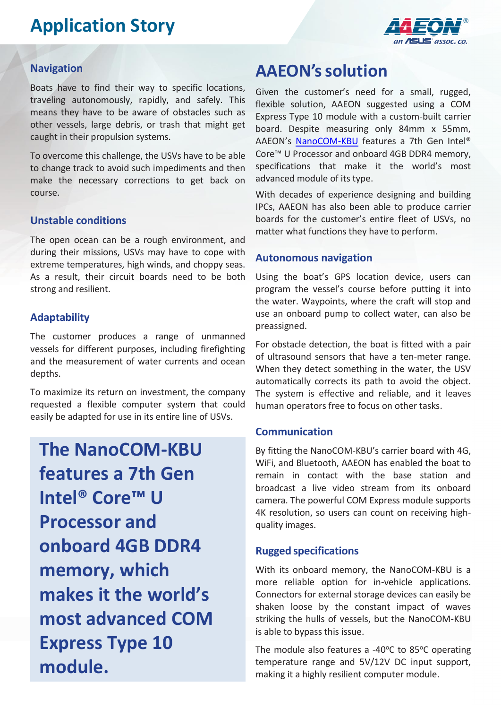# **Application Story**



#### **Navigation**

Boats have to find their way to specific locations, traveling autonomously, rapidly, and safely. This means they have to be aware of obstacles such as other vessels, large debris, or trash that might get caught in their propulsion systems.

To overcome this challenge, the USVs have to be able to change track to avoid such impediments and then make the necessary corrections to get back on course.

#### **Unstable conditions**

The open ocean can be a rough environment, and during their missions, USVs may have to cope with extreme temperatures, high winds, and choppy seas. As a result, their circuit boards need to be both strong and resilient.

#### **Adaptability**

The customer produces a range of unmanned vessels for different purposes, including firefighting and the measurement of water currents and ocean depths.

To maximize its return on investment, the company requested a flexible computer system that could easily be adapted for use in its entire line of USVs.

**The NanoCOM-KBU features a 7th Gen Intel® Core™ U Processor and onboard 4GB DDR4 memory, which makes it the world's most advanced COM Express Type 10 module.**

### **AAEON'ssolution**

Given the customer's need for a small, rugged, flexible solution, AAEON suggested using a COM Express Type 10 module with a custom-built carrier board. Despite measuring only 84mm x 55mm, AAEON's [NanoCOM-KBU](http://www.aaeon.com/en/p/com-express-modules-nanocom-kbu) features a 7th Gen Intel® Core™ U Processor and onboard 4GB DDR4 memory, specifications that make it the world's most advanced module of its type.

With decades of experience designing and building IPCs, AAEON has also been able to produce carrier boards for the customer's entire fleet of USVs, no matter what functions they have to perform.

#### **Autonomous navigation**

Using the boat's GPS location device, users can program the vessel's course before putting it into the water. Waypoints, where the craft will stop and use an onboard pump to collect water, can also be preassigned.

For obstacle detection, the boat is fitted with a pair of ultrasound sensors that have a ten-meter range. When they detect something in the water, the USV automatically corrects its path to avoid the object. The system is effective and reliable, and it leaves human operators free to focus on other tasks.

#### **Communication**

By fitting the NanoCOM-KBU's carrier board with 4G, WiFi, and Bluetooth, AAEON has enabled the boat to remain in contact with the base station and broadcast a live video stream from its onboard camera. The powerful COM Express module supports 4K resolution, so users can count on receiving highquality images.

#### **Rugged specifications**

With its onboard memory, the NanoCOM-KBU is a more reliable option for in-vehicle applications. Connectors for external storage devices can easily be shaken loose by the constant impact of waves striking the hulls of vessels, but the NanoCOM-KBU is able to bypass this issue.

The module also features a -40 $\degree$ C to 85 $\degree$ C operating temperature range and 5V/12V DC input support, making it a highly resilient computer module.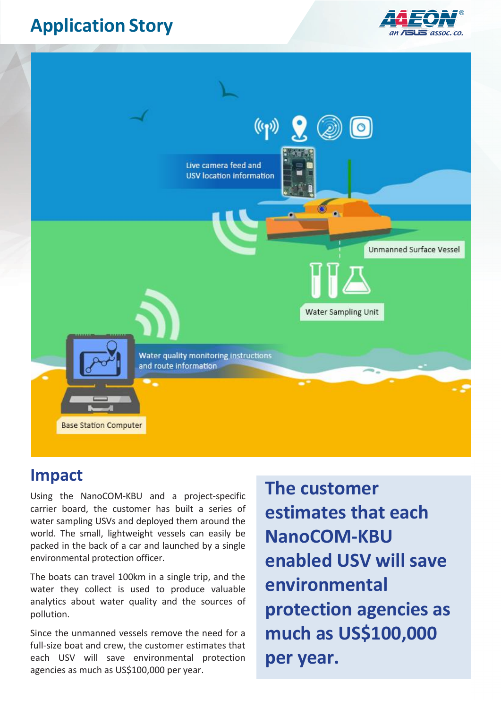# **Application Story**





### **Impact**

Using the NanoCOM-KBU and a project-specific carrier board, the customer has built a series of water sampling USVs and deployed them around the world. The small, lightweight vessels can easily be packed in the back of a car and launched by a single environmental protection officer.

The boats can travel 100km in a single trip, and the water they collect is used to produce valuable analytics about water quality and the sources of pollution.

Since the unmanned vessels remove the need for a full-size boat and crew, the customer estimates that each USV will save environmental protection agencies as much as US\$100,000 per year.

**The customer estimates that each NanoCOM-KBU enabled USV will save environmental protection agencies as much as US\$100,000 per year.**